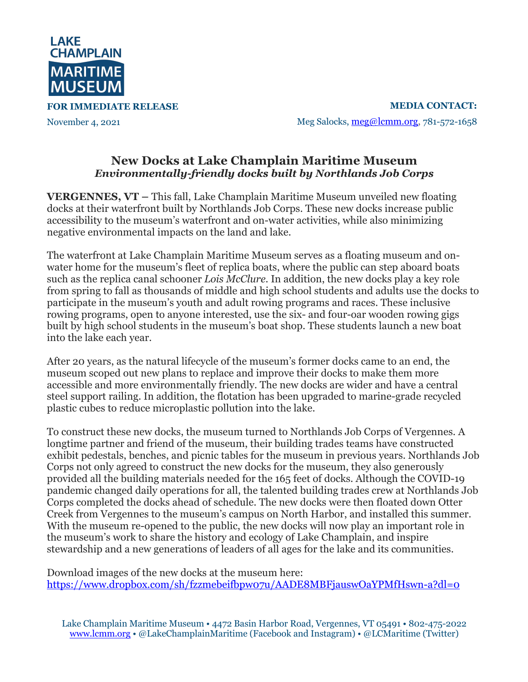

**FOR IMMEDIATE RELEASE**

November 4, 2021

**MEDIA CONTACT:** Meg Salocks, meg@lcmm.org, 781-572-1658

## **New Docks at Lake Champlain Maritime Museum** *Environmentally-friendly docks built by Northlands Job Corps*

**VERGENNES, VT –** This fall, Lake Champlain Maritime Museum unveiled new floating docks at their waterfront built by Northlands Job Corps. These new docks increase public accessibility to the museum's waterfront and on-water activities, while also minimizing negative environmental impacts on the land and lake.

The waterfront at Lake Champlain Maritime Museum serves as a floating museum and onwater home for the museum's fleet of replica boats, where the public can step aboard boats such as the replica canal schooner *Lois McClure*. In addition, the new docks play a key role from spring to fall as thousands of middle and high school students and adults use the docks to participate in the museum's youth and adult rowing programs and races. These inclusive rowing programs, open to anyone interested, use the six- and four-oar wooden rowing gigs built by high school students in the museum's boat shop. These students launch a new boat into the lake each year.

After 20 years, as the natural lifecycle of the museum's former docks came to an end, the museum scoped out new plans to replace and improve their docks to make them more accessible and more environmentally friendly. The new docks are wider and have a central steel support railing. In addition, the flotation has been upgraded to marine-grade recycled plastic cubes to reduce microplastic pollution into the lake.

To construct these new docks, the museum turned to Northlands Job Corps of Vergennes. A longtime partner and friend of the museum, their building trades teams have constructed exhibit pedestals, benches, and picnic tables for the museum in previous years. Northlands Job Corps not only agreed to construct the new docks for the museum, they also generously provided all the building materials needed for the 165 feet of docks. Although the COVID-19 pandemic changed daily operations for all, the talented building trades crew at Northlands Job Corps completed the docks ahead of schedule. The new docks were then floated down Otter Creek from Vergennes to the museum's campus on North Harbor, and installed this summer. With the museum re-opened to the public, the new docks will now play an important role in the museum's work to share the history and ecology of Lake Champlain, and inspire stewardship and a new generations of leaders of all ages for the lake and its communities.

Download images of the new docks at the museum here: https://www.dropbox.com/sh/fzzmebeifbpw07u/AADE8MBFjauswOaYPMfHswn-a?dl=0

Lake Champlain Maritime Museum • 4472 Basin Harbor Road, Vergennes, VT 05491 • 802-475-2022 www.lcmm.org • @LakeChamplainMaritime (Facebook and Instagram) • @LCMaritime (Twitter)